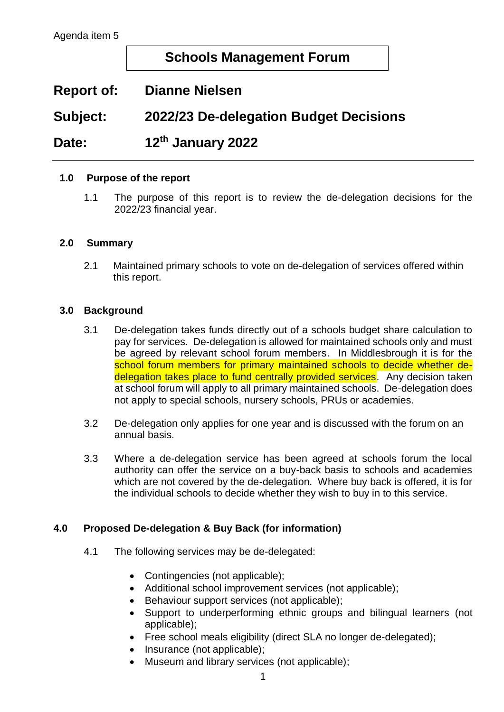# **Schools Management Forum**

## **Report of: Dianne Nielsen**

**Subject: 2022/23 De-delegation Budget Decisions** 

Date: **th January 2022**

#### **1.0 Purpose of the report**

1.1 The purpose of this report is to review the de-delegation decisions for the 2022/23 financial year.

#### **2.0 Summary**

2.1 Maintained primary schools to vote on de-delegation of services offered within this report.

#### **3.0 Background**

- 3.1 De-delegation takes funds directly out of a schools budget share calculation to pay for services. De-delegation is allowed for maintained schools only and must be agreed by relevant school forum members. In Middlesbrough it is for the school forum members for primary maintained schools to decide whether dedelegation takes place to fund centrally provided services. Any decision taken at school forum will apply to all primary maintained schools. De-delegation does not apply to special schools, nursery schools, PRUs or academies.
- 3.2 De-delegation only applies for one year and is discussed with the forum on an annual basis.
- 3.3 Where a de-delegation service has been agreed at schools forum the local authority can offer the service on a buy-back basis to schools and academies which are not covered by the de-delegation. Where buy back is offered, it is for the individual schools to decide whether they wish to buy in to this service.

### **4.0 Proposed De-delegation & Buy Back (for information)**

- 4.1 The following services may be de-delegated:
	- Contingencies (not applicable);
	- Additional school improvement services (not applicable);
	- Behaviour support services (not applicable);
	- Support to underperforming ethnic groups and bilingual learners (not applicable);
	- Free school meals eligibility (direct SLA no longer de-delegated);
	- Insurance (not applicable);
	- Museum and library services (not applicable);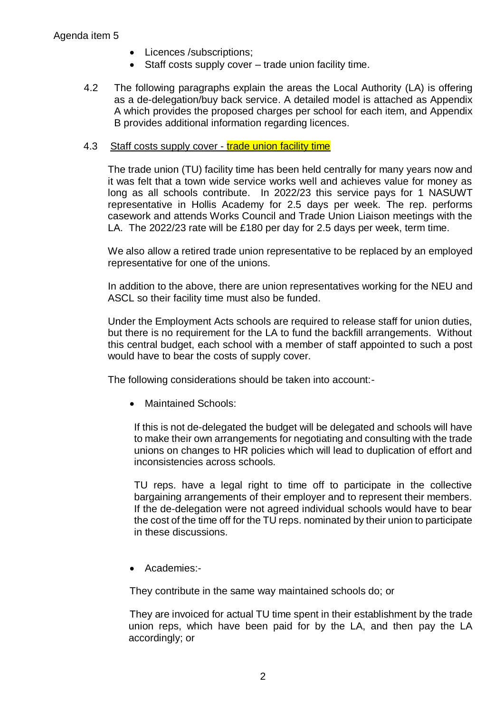### Agenda item 5

- Licences /subscriptions;
- Staff costs supply cover trade union facility time.
- 4.2 The following paragraphs explain the areas the Local Authority (LA) is offering as a de-delegation/buy back service. A detailed model is attached as Appendix A which provides the proposed charges per school for each item, and Appendix B provides additional information regarding licences.

### 4.3 Staff costs supply cover - trade union facility time

The trade union (TU) facility time has been held centrally for many years now and it was felt that a town wide service works well and achieves value for money as long as all schools contribute. In 2022/23 this service pays for 1 NASUWT representative in Hollis Academy for 2.5 days per week. The rep. performs casework and attends Works Council and Trade Union Liaison meetings with the LA. The 2022/23 rate will be £180 per day for 2.5 days per week, term time.

We also allow a retired trade union representative to be replaced by an employed representative for one of the unions.

In addition to the above, there are union representatives working for the NEU and ASCL so their facility time must also be funded.

Under the Employment Acts schools are required to release staff for union duties, but there is no requirement for the LA to fund the backfill arrangements. Without this central budget, each school with a member of staff appointed to such a post would have to bear the costs of supply cover.

The following considerations should be taken into account:-

Maintained Schools:

If this is not de-delegated the budget will be delegated and schools will have to make their own arrangements for negotiating and consulting with the trade unions on changes to HR policies which will lead to duplication of effort and inconsistencies across schools.

TU reps. have a legal right to time off to participate in the collective bargaining arrangements of their employer and to represent their members. If the de-delegation were not agreed individual schools would have to bear the cost of the time off for the TU reps. nominated by their union to participate in these discussions.

Academies:-

They contribute in the same way maintained schools do; or

They are invoiced for actual TU time spent in their establishment by the trade union reps, which have been paid for by the LA, and then pay the LA accordingly; or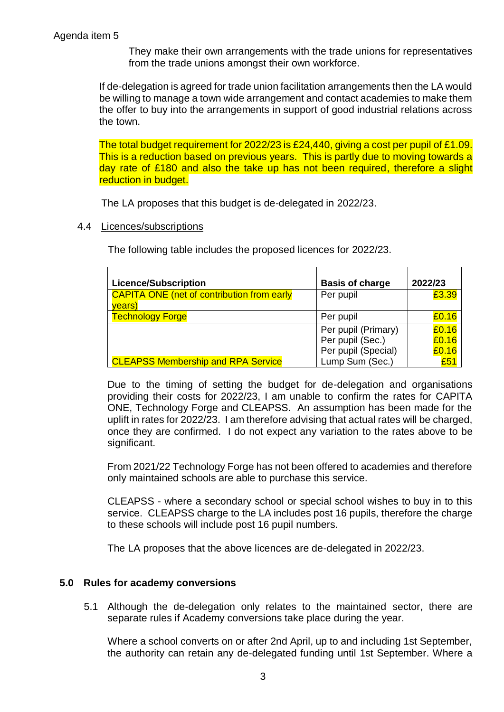They make their own arrangements with the trade unions for representatives from the trade unions amongst their own workforce.

If de-delegation is agreed for trade union facilitation arrangements then the LA would be willing to manage a town wide arrangement and contact academies to make them the offer to buy into the arrangements in support of good industrial relations across the town.

The total budget requirement for 2022/23 is £24,440, giving a cost per pupil of £1.09. This is a reduction based on previous years. This is partly due to moving towards a day rate of £180 and also the take up has not been required, therefore a slight reduction in budget.

The LA proposes that this budget is de-delegated in 2022/23.

#### 4.4 Licences/subscriptions

The following table includes the proposed licences for 2022/23.

| <b>Licence/Subscription</b>                       | <b>Basis of charge</b> | 2022/23 |
|---------------------------------------------------|------------------------|---------|
| <b>CAPITA ONE (net of contribution from early</b> | Per pupil              | £3.39   |
| years)                                            |                        |         |
| <b>Technology Forge</b>                           | Per pupil              | £0.16   |
|                                                   | Per pupil (Primary)    | £0.16   |
|                                                   | Per pupil (Sec.)       | £0.16   |
|                                                   | Per pupil (Special)    | £0.16   |
| <b>CLEAPSS Membership and RPA Service</b>         | Lump Sum (Sec.)        | £51     |

Due to the timing of setting the budget for de-delegation and organisations providing their costs for 2022/23, I am unable to confirm the rates for CAPITA ONE, Technology Forge and CLEAPSS. An assumption has been made for the uplift in rates for 2022/23. I am therefore advising that actual rates will be charged, once they are confirmed. I do not expect any variation to the rates above to be significant.

From 2021/22 Technology Forge has not been offered to academies and therefore only maintained schools are able to purchase this service.

CLEAPSS - where a secondary school or special school wishes to buy in to this service. CLEAPSS charge to the LA includes post 16 pupils, therefore the charge to these schools will include post 16 pupil numbers.

The LA proposes that the above licences are de-delegated in 2022/23.

### **5.0 Rules for academy conversions**

5.1 Although the de-delegation only relates to the maintained sector, there are separate rules if Academy conversions take place during the year.

Where a school converts on or after 2nd April, up to and including 1st September, the authority can retain any de-delegated funding until 1st September. Where a